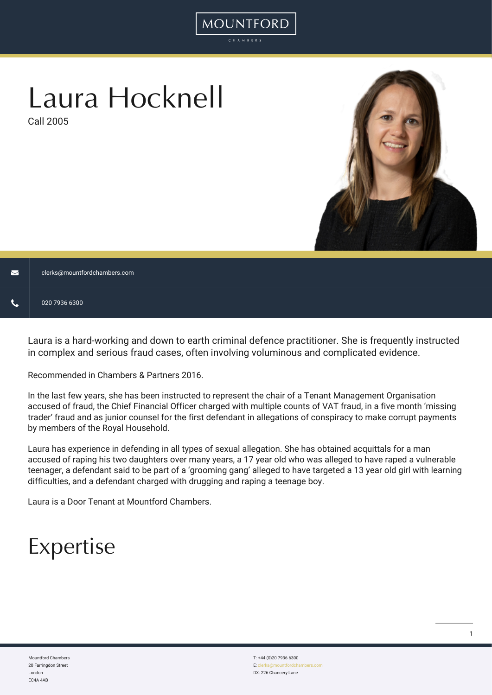# Laura Hocknell

Call 2005



| $\blacksquare$ | clerks@mountfordchambers.com |
|----------------|------------------------------|
| ∾              | 020 7936 6300                |

MOUNTFORD

Laura is a hard-working and down to earth criminal defence practitioner. She is frequently instructed in complex and serious fraud cases, often involving voluminous and complicated evidence.

Recommended in Chambers & Partners 2016.

In the last few years, she has been instructed to represent the chair of a Tenant Management Organisation accused of fraud, the Chief Financial Officer charged with multiple counts of VAT fraud, in a five month 'missing trader' fraud and as junior counsel for the first defendant in allegations of conspiracy to make corrupt payments by members of the Royal Household.

Laura has experience in defending in all types of sexual allegation. She has obtained acquittals for a man accused of raping his two daughters over many years, a 17 year old who was alleged to have raped a vulnerable teenager, a defendant said to be part of a 'grooming gang' alleged to have targeted a 13 year old girl with learning difficulties, and a defendant charged with drugging and raping a teenage boy.

Laura is a Door Tenant at Mountford Chambers.

## Expertise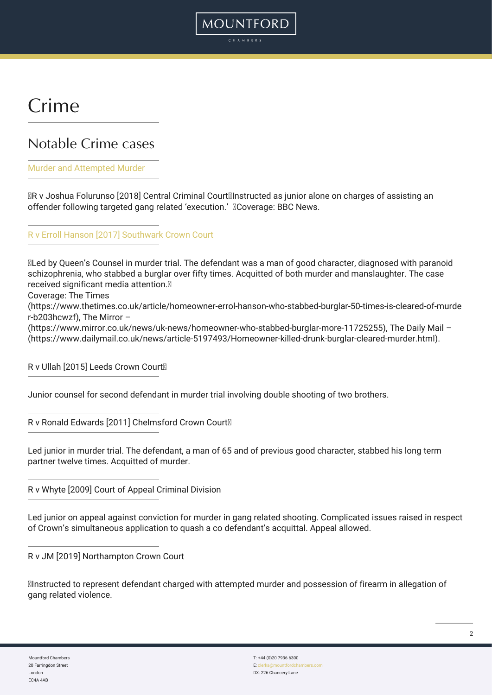### Crime

### Notable Crime cases

#### [Murder and Attempted Murder](https://www.bbc.co.uk/news/uk-england-london-45508422)

R v Joshua Folurunso [2018] Central Criminal Court
Instructed as junior alone on charges of assisting an offender following targeted gang related 'execution.' 
Coverage: BBC News.

MOUNTFORD

[R v Erroll Hanson \[2017\] Southwark Crown Court](https://www.thetimes.co.uk/article/homeowner-errol-hanson-who-stabbed-burglar-50-times-is-cleared-of-murder-b203hcwzf)

Led by Queen's Counsel in murder trial. The defendant was a man of good character, diagnosed with paranoid schizophrenia, who stabbed a burglar over fifty times. Acquitted of both murder and manslaughter. The case received significant media attention. Coverage: The Times (https://www.thetimes.co.uk/article/homeowner-errol-hanson-who-stabbed-burglar-50-times-is-cleared-of-murde r-b203hcwzf), The Mirror – (https://www.mirror.co.uk/news/uk-news/homeowner-who-stabbed-burglar-more-11725255), The Daily Mail – (https://www.dailymail.co.uk/news/article-5197493/Homeowner-killed-drunk-burglar-cleared-murder.html).

R v Ullah [2015] Leeds Crown Court

Junior counsel for second defendant in murder trial involving double shooting of two brothers.

R v Ronald Edwards [2011] Chelmsford Crown Court

Led junior in murder trial. The defendant, a man of 65 and of previous good character, stabbed his long term partner twelve times. Acquitted of murder.

R v Whyte [2009] Court of Appeal Criminal Division

Led junior on appeal against conviction for murder in gang related shooting. Complicated issues raised in respect of Crown's simultaneous application to quash a co defendant's acquittal. Appeal allowed.

#### R v JM [2019] Northampton Crown Court

Instructed to represent defendant charged with attempted murder and possession of firearm in allegation of gang related violence.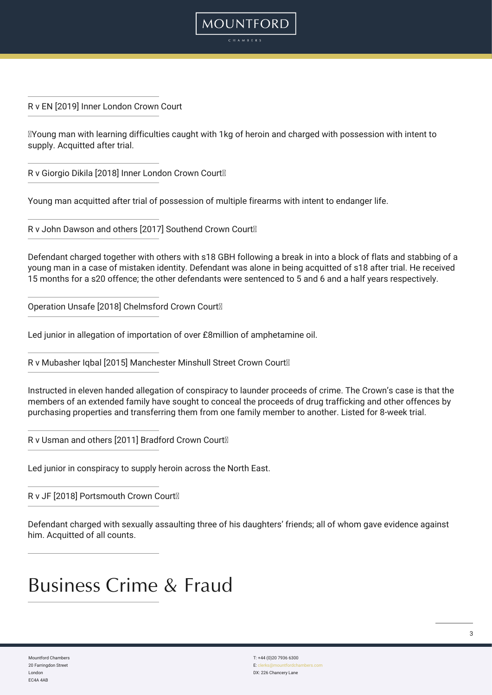R v EN [2019] Inner London Crown Court

Young man with learning difficulties caught with 1kg of heroin and charged with possession with intent to supply. Acquitted after trial.

**MOUNTFORD** 

R v Giorgio Dikila [2018] Inner London Crown Court

Young man acquitted after trial of possession of multiple firearms with intent to endanger life.

R v John Dawson and others [2017] Southend Crown Court

Defendant charged together with others with s18 GBH following a break in into a block of flats and stabbing of a young man in a case of mistaken identity. Defendant was alone in being acquitted of s18 after trial. He received 15 months for a s20 offence; the other defendants were sentenced to 5 and 6 and a half years respectively.

Operation Unsafe [2018] Chelmsford Crown Court

Led junior in allegation of importation of over £8million of amphetamine oil.

R v Mubasher Iqbal [2015] Manchester Minshull Street Crown Court<sup>®</sup>

Instructed in eleven handed allegation of conspiracy to launder proceeds of crime. The Crown's case is that the members of an extended family have sought to conceal the proceeds of drug trafficking and other offences by purchasing properties and transferring them from one family member to another. Listed for 8-week trial.

R v Usman and others [2011] Bradford Crown Court

Led junior in conspiracy to supply heroin across the North East.

R v JF [2018] Portsmouth Crown Court

Defendant charged with sexually assaulting three of his daughters' friends; all of whom gave evidence against him. Acquitted of all counts.

### Business Crime & Fraud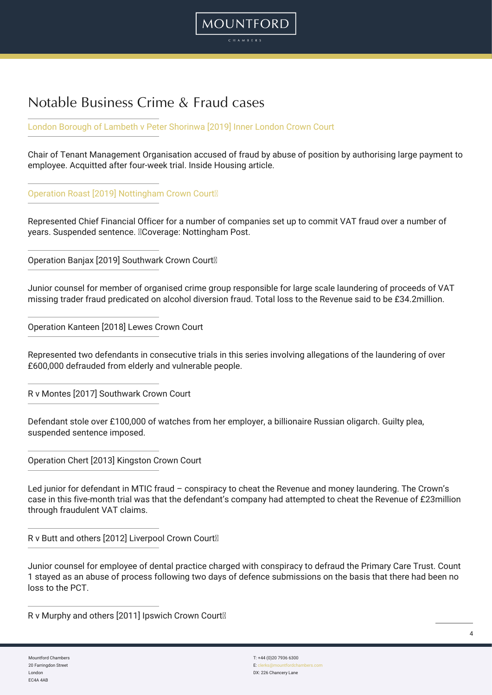### Notable Business Crime & Fraud cases

[London Borough of Lambeth v Peter Shorinwa \[2019\] Inner London Crown Court](https://www.insidehousing.co.uk/news/news/tmo-chair-and-ex-council-officer-accused-of-56000-fraud-62367)

Chair of Tenant Management Organisation accused of fraud by abuse of position by authorising large payment to employee. Acquitted after four-week trial. Inside Housing article.

MOUNTFORD

[Operation Roast \[2019\] Nottingham Crown Court](https://www.mountfordchambers.com/wp-admin/Operation Roast [2019] Nottingham Crown Court ) 

Represented Chief Financial Officer for a number of companies set up to commit VAT fraud over a number of years. Suspended sentence. 
Coverage: Nottingham Post.

Operation Banjax [2019] Southwark Crown Court

Junior counsel for member of organised crime group responsible for large scale laundering of proceeds of VAT missing trader fraud predicated on alcohol diversion fraud. Total loss to the Revenue said to be £34.2million.

Operation Kanteen [2018] Lewes Crown Court

Represented two defendants in consecutive trials in this series involving allegations of the laundering of over £600,000 defrauded from elderly and vulnerable people.

R v Montes [2017] Southwark Crown Court

Defendant stole over £100,000 of watches from her employer, a billionaire Russian oligarch. Guilty plea, suspended sentence imposed.

Operation Chert [2013] Kingston Crown Court

Led junior for defendant in MTIC fraud – conspiracy to cheat the Revenue and money laundering. The Crown's case in this five-month trial was that the defendant's company had attempted to cheat the Revenue of £23million through fraudulent VAT claims.

R v Butt and others [2012] Liverpool Crown Court<sup>®</sup>

Junior counsel for employee of dental practice charged with conspiracy to defraud the Primary Care Trust. Count 1 stayed as an abuse of process following two days of defence submissions on the basis that there had been no loss to the PCT.

R v Murphy and others [2011] Ipswich Crown Court<sup>®</sup>